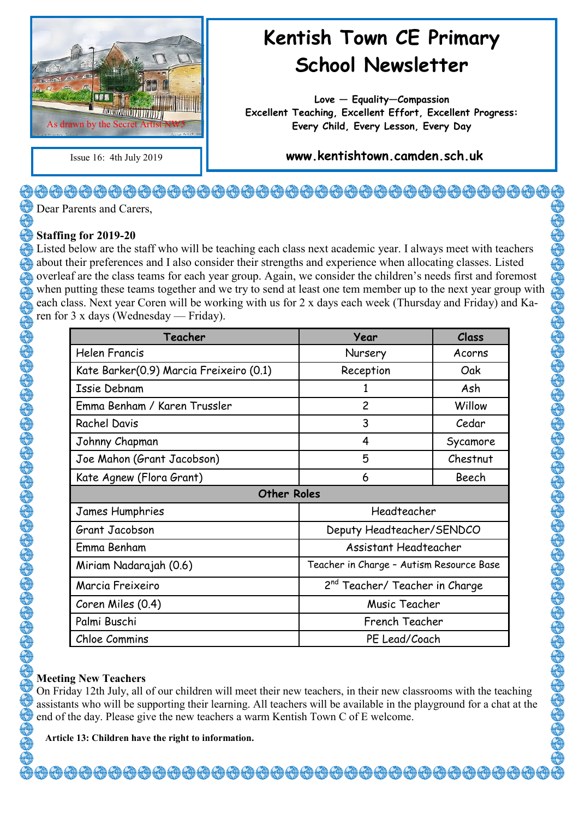

# **Kentish Town CE Primary School Newsletter**

**Love — Equality—Compassion Excellent Teaching, Excellent Effort, Excellent Progress: Every Child, Every Lesson, Every Day**

Issue 16: 4th July 2019 **www.kentishtown.camden.sch.uk** 

# <del>�</del>�������������������������������� **Dear Parents and Carers**

#### **Staffing for 2019-20**

Listed below are the staff who will be teaching each class next academic year. I always meet with teachers about their preferences and I also consider their strengths and experience when allocating classes. Listed overleaf are the class teams for each year group. Again, we consider the children's needs first and foremost when putting these teams together and we try to send at least one tem member up to the next year group with each class. Next year Coren will be working with us for 2 x days each week (Thursday and Friday) and Karen for 3 x days (Wednesday — Friday).

| Teacher                                 | Year                                       | Class    |  |  |
|-----------------------------------------|--------------------------------------------|----------|--|--|
| <b>Helen Francis</b>                    | Nursery                                    | Acorns   |  |  |
| Kate Barker(0.9) Marcia Freixeiro (0.1) | Reception                                  | Oak      |  |  |
| <b>Issie Debnam</b>                     | 1                                          | Ash      |  |  |
| Emma Benham / Karen Trussler            | $\overline{c}$                             | Willow   |  |  |
| <b>Rachel Davis</b>                     | 3                                          | Cedar    |  |  |
| Johnny Chapman                          | 4                                          | Sycamore |  |  |
| Joe Mahon (Grant Jacobson)              | 5                                          | Chestnut |  |  |
| Kate Agnew (Flora Grant)                | 6                                          | Beech    |  |  |
| <b>Other Roles</b>                      |                                            |          |  |  |
| James Humphries                         | Headteacher                                |          |  |  |
| Grant Jacobson                          | Deputy Headteacher/SENDCO                  |          |  |  |
| Emma Benham                             | Assistant Headteacher                      |          |  |  |
| Miriam Nadarajah (0.6)                  | Teacher in Charge - Autism Resource Base   |          |  |  |
| Marcia Freixeiro                        | 2 <sup>nd</sup> Teacher/ Teacher in Charge |          |  |  |
| Coren Miles (0.4)                       | Music Teacher                              |          |  |  |
| Palmi Buschi                            | French Teacher                             |          |  |  |
| Chloe Commins                           | PE Lead/Coach                              |          |  |  |

#### **Meeting New Teachers**

30000000000000000000000000000

On Friday 12th July, all of our children will meet their new teachers, in their new classrooms with the teaching assistants who will be supporting their learning. All teachers will be available in the playground for a chat at the end of the day. Please give the new teachers a warm Kentish Town C of E welcome.

<del>000000000000000000000000000000000</del>

**Article 13: Children have the right to information.**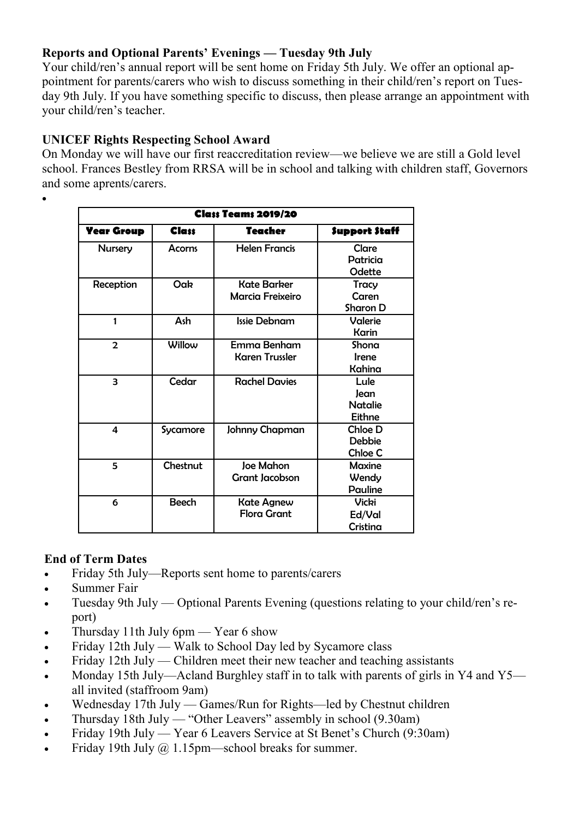### **Reports and Optional Parents' Evenings — Tuesday 9th July**

Your child/ren's annual report will be sent home on Friday 5th July. We offer an optional appointment for parents/carers who wish to discuss something in their child/ren's report on Tuesday 9th July. If you have something specific to discuss, then please arrange an appointment with your child/ren's teacher.

#### **UNICEF Rights Respecting School Award**

On Monday we will have our first reaccreditation review—we believe we are still a Gold level school. Frances Bestley from RRSA will be in school and talking with children staff, Governors and some aprents/carers.

|                   | <b>Class Teams 2019/20</b> |                                           |                                                 |  |  |  |
|-------------------|----------------------------|-------------------------------------------|-------------------------------------------------|--|--|--|
| <b>Year Group</b> | <b>Class</b>               | <b>Teacher</b>                            | <b>Support Staff</b>                            |  |  |  |
| <b>Nursery</b>    | <b>Acorns</b>              | <b>Helen Francis</b>                      | <b>Clare</b><br>Patricia<br>Odette              |  |  |  |
| Reception         | Oak                        | Kate Barker<br><b>Marcia Freixeiro</b>    | Tracy<br>Caren<br><b>Sharon D</b>               |  |  |  |
| 1                 | Ash                        | <b>Issie Debnam</b>                       | Valerie<br>Karin                                |  |  |  |
| $\overline{2}$    | Willow                     | Emma Benham<br><b>Karen Trussler</b>      | Shona<br><b>Irene</b><br>Kahina                 |  |  |  |
| 3                 | Cedar                      | <b>Rachel Davies</b>                      | Lule<br>Jean<br><b>Natalie</b><br><b>Eithne</b> |  |  |  |
| 4                 | Sycamore                   | Johnny Chapman                            | Chloe D<br><b>Debbie</b><br>Chloe C             |  |  |  |
| 5                 | Chestnut                   | <b>Joe Mahon</b><br><b>Grant Jacobson</b> | Maxine<br>Wendy<br><b>Pauline</b>               |  |  |  |
| 6                 | <b>Beech</b>               | <b>Kate Agnew</b><br><b>Flora Grant</b>   | <b>Vicki</b><br>Ed/Val<br>Cristina              |  |  |  |

# **End of Term Dates**

 $\bullet$ 

- Friday 5th July—Reports sent home to parents/carers
- Summer Fair
- Tuesday 9th July Optional Parents Evening (questions relating to your child/ren's report)
- Thursday 11th July 6pm Year 6 show
- Friday 12th July Walk to School Day led by Sycamore class
- Friday 12th July Children meet their new teacher and teaching assistants
- Monday 15th July—Acland Burghley staff in to talk with parents of girls in Y4 and Y5 all invited (staffroom 9am)
- Wednesday 17th July Games/Run for Rights—led by Chestnut children
- Thursday 18th July "Other Leavers" assembly in school (9.30am)
- Friday 19th July Year 6 Leavers Service at St Benet's Church (9:30am)
- Friday 19th July @ 1.15pm—school breaks for summer.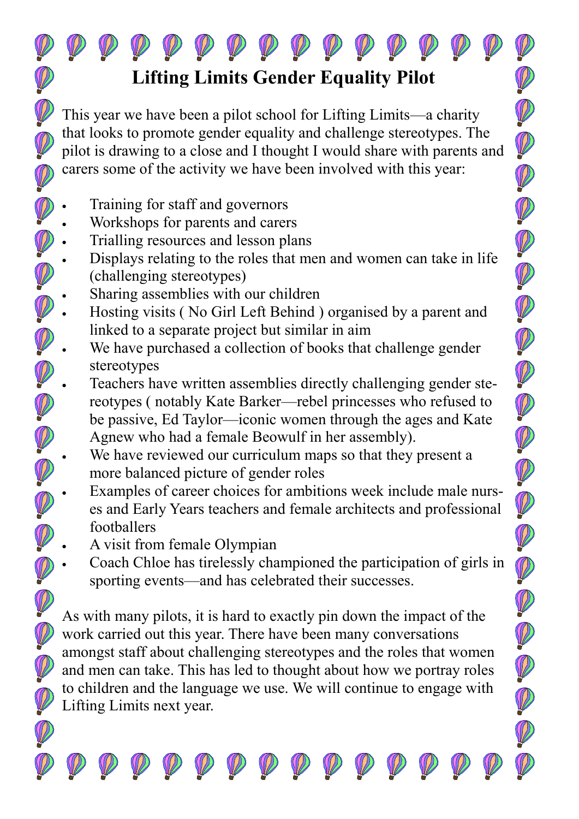# **Lifting Limits Gender Equality Pilot**

This year we have been a pilot school for Lifting Limits—a charity that looks to promote gender equality and challenge stereotypes. The pilot is drawing to a close and I thought I would share with parents and carers some of the activity we have been involved with this year:

- Training for staff and governors
- Workshops for parents and carers
- Trialling resources and lesson plans
- Displays relating to the roles that men and women can take in life (challenging stereotypes)
- Sharing assemblies with our children
- Hosting visits ( No Girl Left Behind ) organised by a parent and linked to a separate project but similar in aim
- We have purchased a collection of books that challenge gender stereotypes
- Teachers have written assemblies directly challenging gender stereotypes ( notably Kate Barker—rebel princesses who refused to be passive, Ed Taylor—iconic women through the ages and Kate Agnew who had a female Beowulf in her assembly).

- We have reviewed our curriculum maps so that they present a more balanced picture of gender roles
- Examples of career choices for ambitions week include male nurses and Early Years teachers and female architects and professional footballers
- A visit from female Olympian
- Coach Chloe has tirelessly championed the participation of girls in sporting events—and has celebrated their successes.

As with many pilots, it is hard to exactly pin down the impact of the work carried out this year. There have been many conversations amongst staff about challenging stereotypes and the roles that women and men can take. This has led to thought about how we portray roles to children and the language we use. We will continue to engage with Lifting Limits next year.